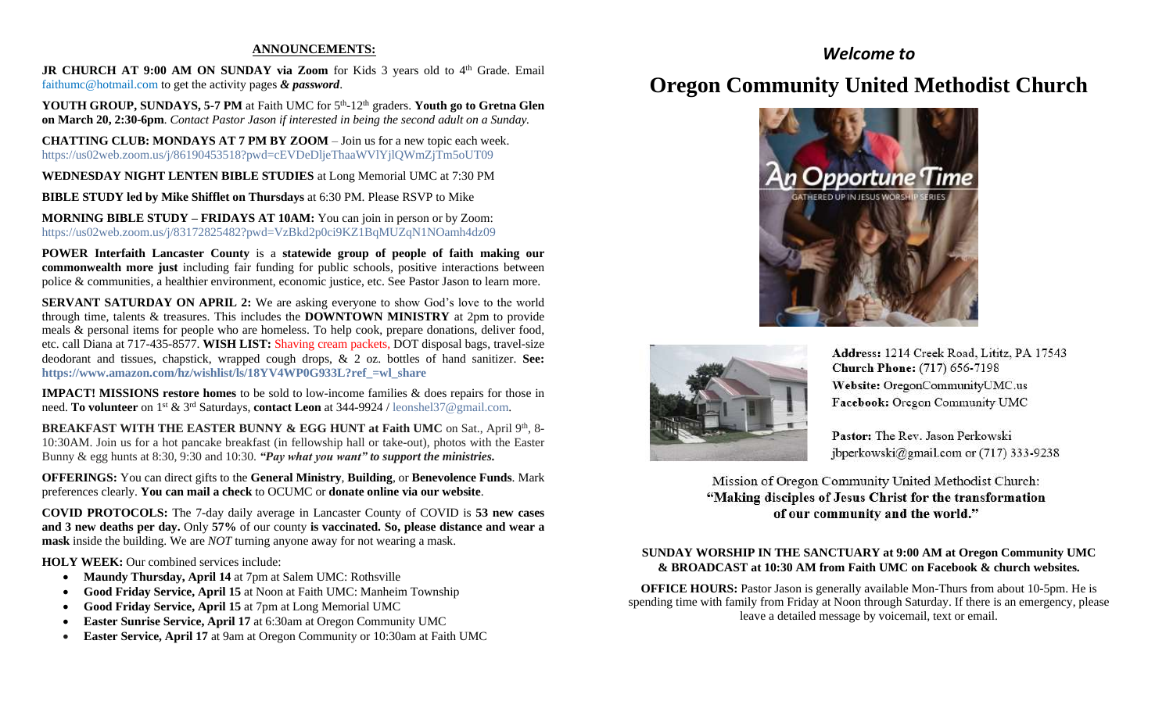#### **ANNOUNCEMENTS:**

JR CHURCH AT 9:00 AM ON SUNDAY via Zoom for Kids 3 years old to 4<sup>th</sup> Grade. Email [faithumc@hotmail.com](about:blank) to get the activity pages *& password*.

YOUTH GROUP, SUNDAYS, 5-7 PM at Faith UMC for 5<sup>th</sup>-12<sup>th</sup> graders. Youth go to Gretna Glen **on March 20, 2:30-6pm***. Contact Pastor Jason if interested in being the second adult on a Sunday.*

**CHATTING CLUB: MONDAYS AT 7 PM BY ZOOM** – Join us for a new topic each week. https://us02web.zoom.us/j/86190453518?pwd=cEVDeDljeThaaWVlYjlQWmZjTm5oUT09

**WEDNESDAY NIGHT LENTEN BIBLE STUDIES** at Long Memorial UMC at 7:30 PM

**BIBLE STUDY led by Mike Shifflet on Thursdays** at 6:30 PM. Please RSVP to Mike

**MORNING BIBLE STUDY – FRIDAYS AT 10AM:** You can join in person or by Zoom: <https://us02web.zoom.us/j/83172825482?pwd=VzBkd2p0ci9KZ1BqMUZqN1NOamh4dz09>

**POWER Interfaith Lancaster County** is a **statewide group of people of faith making our commonwealth more just** including fair funding for public schools, positive interactions between police & communities, a healthier environment, economic justice, etc. See Pastor Jason to learn more.

**SERVANT SATURDAY ON APRIL 2:** We are asking everyone to show God's love to the world through time, talents & treasures. This includes the **DOWNTOWN MINISTRY** at 2pm to provide meals & personal items for people who are homeless. To help cook, prepare donations, deliver food, etc. call Diana at 717-435-8577. **WISH LIST:** Shaving cream packets, DOT disposal bags, travel-size deodorant and tissues, chapstick, wrapped cough drops, & 2 oz. bottles of hand sanitizer. **See: [https://www.amazon.com/hz/wishlist/ls/18YV4WP0G933L?ref\\_=wl\\_share](https://www.amazon.com/hz/wishlist/ls/18YV4WP0G933L?ref_=wl_share)**

**IMPACT! MISSIONS restore homes** to be sold to low-income families & does repairs for those in need. **To volunteer** on 1st & 3rd Saturdays, **contact Leon** at 344-9924 / [leonshel37@gmail.com.](about:blank)

**BREAKFAST WITH THE EASTER BUNNY & EGG HUNT at Faith UMC** on Sat., April 9<sup>th</sup>, 8-10:30AM. Join us for a hot pancake breakfast (in fellowship hall or take-out), photos with the Easter Bunny & egg hunts at 8:30, 9:30 and 10:30. *"Pay what you want" to support the ministries.*

**OFFERINGS:** You can direct gifts to the **General Ministry**, **Building**, or **Benevolence Funds**. Mark preferences clearly. **You can mail a check** to OCUMC or **donate online via our website**.

**COVID PROTOCOLS:** The 7-day daily average in Lancaster County of COVID is **53 new cases and 3 new deaths per day.** Only **57%** of our county **is vaccinated. So, please distance and wear a mask** inside the building. We are *NOT* turning anyone away for not wearing a mask.

**HOLY WEEK:** Our combined services include:

- **Maundy Thursday, April 14** at 7pm at Salem UMC: Rothsville
- **Good Friday Service, April 15** at Noon at Faith UMC: Manheim Township
- **Good Friday Service, April 15** at 7pm at Long Memorial UMC
- **Easter Sunrise Service, April 17** at 6:30am at Oregon Community UMC
- **Easter Service, April 17** at 9am at Oregon Community or 10:30am at Faith UMC

## *Welcome to*

## **Oregon Community United Methodist Church**





Address: 1214 Creek Road, Lititz, PA 17543 **Church Phone:** (717) 656-7198 Website: OregonCommunityUMC.us Facebook: Oregon Community UMC

Pastor: The Rev. Jason Perkowski jbperkowski@gmail.com or (717) 333-9238

Mission of Oregon Community United Methodist Church: "Making disciples of Jesus Christ for the transformation of our community and the world."

#### **SUNDAY WORSHIP IN THE SANCTUARY at 9:00 AM at Oregon Community UMC & BROADCAST at 10:30 AM from Faith UMC on Facebook & church websites.**

**OFFICE HOURS:** Pastor Jason is generally available Mon-Thurs from about 10-5pm. He is spending time with family from Friday at Noon through Saturday. If there is an emergency, please leave a detailed message by voicemail, text or email.